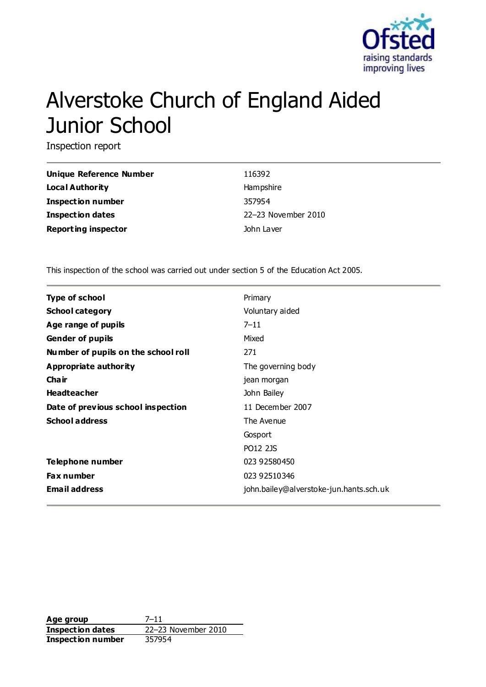

# Alverstoke Church of England Aided Junior School

Inspection report

| Unique Reference Number    | 116392              |
|----------------------------|---------------------|
| Local Authority            | Hampshire           |
| Inspection number          | 357954              |
| <b>Inspection dates</b>    | 22-23 November 2010 |
| <b>Reporting inspector</b> | John Laver          |

This inspection of the school was carried out under section 5 of the Education Act 2005.

| <b>Type of school</b>               | Primary                                 |
|-------------------------------------|-----------------------------------------|
| <b>School category</b>              | Voluntary aided                         |
| Age range of pupils                 | $7 - 11$                                |
| <b>Gender of pupils</b>             | Mixed                                   |
| Number of pupils on the school roll | 271                                     |
| Appropriate authority               | The governing body                      |
| Cha ir                              | jean morgan                             |
| <b>Headteacher</b>                  | John Bailey                             |
| Date of previous school inspection  | 11 December 2007                        |
| <b>School address</b>               | The Avenue                              |
|                                     | Gosport                                 |
|                                     | PO12 2JS                                |
| <b>Telephone number</b>             | 023 92580450                            |
| <b>Fax number</b>                   | 023 92510346                            |
| <b>Email address</b>                | john.bailey@alverstoke-jun.hants.sch.uk |

**Age group** 7–11 **Inspection dates** 22–23 November 2010 **Inspection number** 357954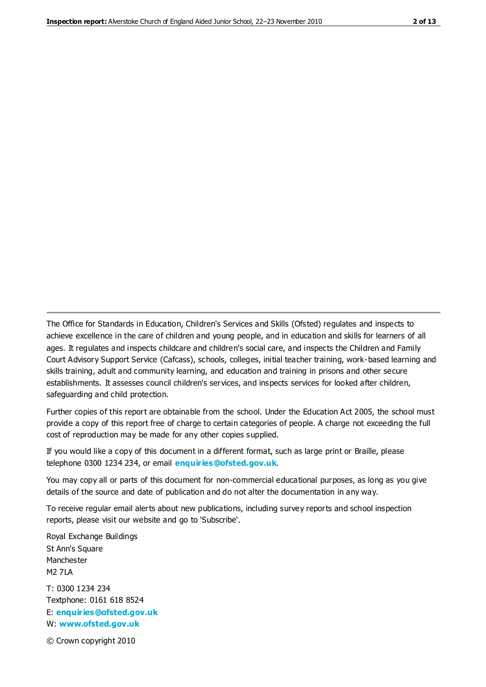The Office for Standards in Education, Children's Services and Skills (Ofsted) regulates and inspects to achieve excellence in the care of children and young people, and in education and skills for learners of all ages. It regulates and inspects childcare and children's social care, and inspects the Children and Family Court Advisory Support Service (Cafcass), schools, colleges, initial teacher training, work-based learning and skills training, adult and community learning, and education and training in prisons and other secure establishments. It assesses council children's services, and inspects services for looked after children, safeguarding and child protection.

Further copies of this report are obtainable from the school. Under the Education Act 2005, the school must provide a copy of this report free of charge to certain categories of people. A charge not exceeding the full cost of reproduction may be made for any other copies supplied.

If you would like a copy of this document in a different format, such as large print or Braille, please telephone 0300 1234 234, or email **[enquiries@ofsted.gov.uk](mailto:enquiries@ofsted.gov.uk)**.

You may copy all or parts of this document for non-commercial educational purposes, as long as you give details of the source and date of publication and do not alter the documentation in any way.

To receive regular email alerts about new publications, including survey reports and school inspection reports, please visit our website and go to 'Subscribe'.

Royal Exchange Buildings St Ann's Square Manchester M2 7LA T: 0300 1234 234 Textphone: 0161 618 8524 E: **[enquiries@ofsted.gov.uk](mailto:enquiries@ofsted.gov.uk)**

W: **[www.ofsted.gov.uk](http://www.ofsted.gov.uk/)**

© Crown copyright 2010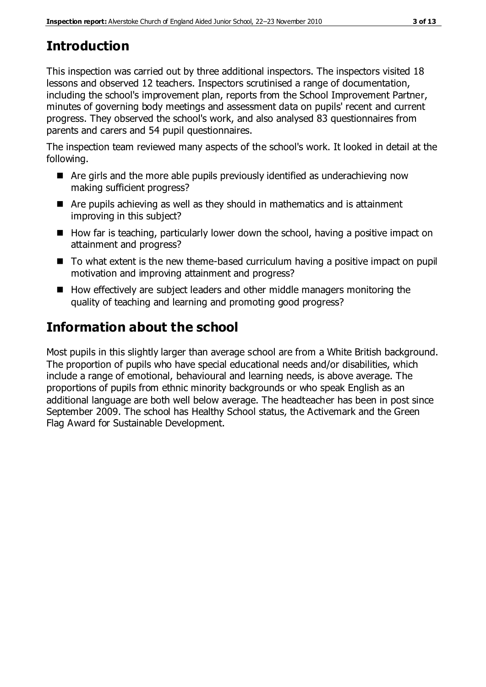# **Introduction**

This inspection was carried out by three additional inspectors. The inspectors visited 18 lessons and observed 12 teachers. Inspectors scrutinised a range of documentation, including the school's improvement plan, reports from the School Improvement Partner, minutes of governing body meetings and assessment data on pupils' recent and current progress. They observed the school's work, and also analysed 83 questionnaires from parents and carers and 54 pupil questionnaires.

The inspection team reviewed many aspects of the school's work. It looked in detail at the following.

- Are girls and the more able pupils previously identified as underachieving now making sufficient progress?
- Are pupils achieving as well as they should in mathematics and is attainment improving in this subject?
- $\blacksquare$  How far is teaching, particularly lower down the school, having a positive impact on attainment and progress?
- To what extent is the new theme-based curriculum having a positive impact on pupil motivation and improving attainment and progress?
- How effectively are subject leaders and other middle managers monitoring the quality of teaching and learning and promoting good progress?

# **Information about the school**

Most pupils in this slightly larger than average school are from a White British background. The proportion of pupils who have special educational needs and/or disabilities, which include a range of emotional, behavioural and learning needs, is above average. The proportions of pupils from ethnic minority backgrounds or who speak English as an additional language are both well below average. The headteacher has been in post since September 2009. The school has Healthy School status, the Activemark and the Green Flag Award for Sustainable Development.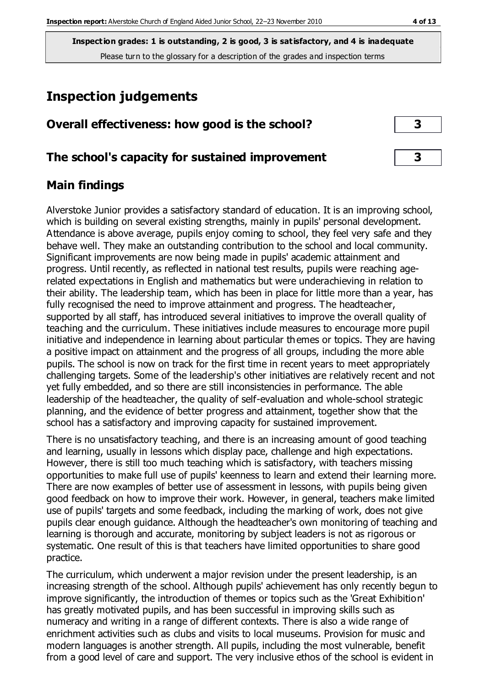## **Inspection judgements**

#### **The school's capacity for sustained improvement 3**

## **Main findings**

Alverstoke Junior provides a satisfactory standard of education. It is an improving school, which is building on several existing strengths, mainly in pupils' personal development. Attendance is above average, pupils enjoy coming to school, they feel very safe and they behave well. They make an outstanding contribution to the school and local community. Significant improvements are now being made in pupils' academic attainment and progress. Until recently, as reflected in national test results, pupils were reaching agerelated expectations in English and mathematics but were underachieving in relation to their ability. The leadership team, which has been in place for little more than a year, has fully recognised the need to improve attainment and progress. The headteacher, supported by all staff, has introduced several initiatives to improve the overall quality of teaching and the curriculum. These initiatives include measures to encourage more pupil initiative and independence in learning about particular themes or topics. They are having a positive impact on attainment and the progress of all groups, including the more able pupils. The school is now on track for the first time in recent years to meet appropriately challenging targets. Some of the leadership's other initiatives are relatively recent and not yet fully embedded, and so there are still inconsistencies in performance. The able leadership of the headteacher, the quality of self-evaluation and whole-school strategic planning, and the evidence of better progress and attainment, together show that the school has a satisfactory and improving capacity for sustained improvement.

There is no unsatisfactory teaching, and there is an increasing amount of good teaching and learning, usually in lessons which display pace, challenge and high expectations. However, there is still too much teaching which is satisfactory, with teachers missing opportunities to make full use of pupils' keenness to learn and extend their learning more. There are now examples of better use of assessment in lessons, with pupils being given good feedback on how to improve their work. However, in general, teachers make limited use of pupils' targets and some feedback, including the marking of work, does not give pupils clear enough guidance. Although the headteacher's own monitoring of teaching and learning is thorough and accurate, monitoring by subject leaders is not as rigorous or systematic. One result of this is that teachers have limited opportunities to share good practice.

The curriculum, which underwent a major revision under the present leadership, is an increasing strength of the school. Although pupils' achievement has only recently begun to improve significantly, the introduction of themes or topics such as the 'Great Exhibition' has greatly motivated pupils, and has been successful in improving skills such as numeracy and writing in a range of different contexts. There is also a wide range of enrichment activities such as clubs and visits to local museums. Provision for music and modern languages is another strength. All pupils, including the most vulnerable, benefit from a good level of care and support. The very inclusive ethos of the school is evident in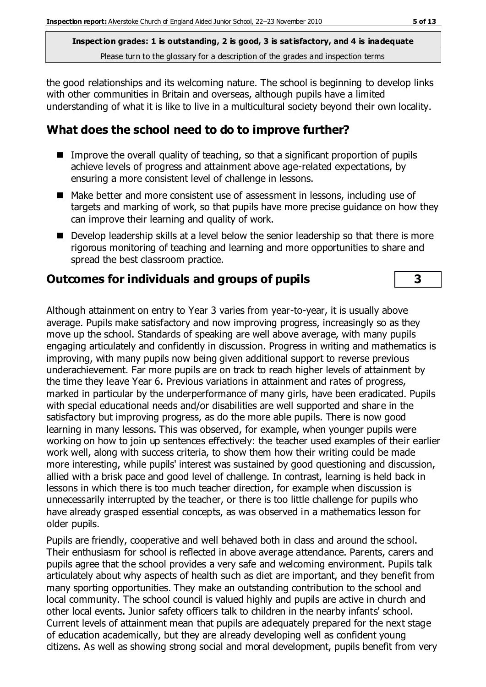the good relationships and its welcoming nature. The school is beginning to develop links with other communities in Britain and overseas, although pupils have a limited understanding of what it is like to live in a multicultural society beyond their own locality.

## **What does the school need to do to improve further?**

- Improve the overall quality of teaching, so that a significant proportion of pupils achieve levels of progress and attainment above age-related expectations, by ensuring a more consistent level of challenge in lessons.
- Make better and more consistent use of assessment in lessons, including use of targets and marking of work, so that pupils have more precise guidance on how they can improve their learning and quality of work.
- Develop leadership skills at a level below the senior leadership so that there is more rigorous monitoring of teaching and learning and more opportunities to share and spread the best classroom practice.

#### **Outcomes for individuals and groups of pupils 3**

Although attainment on entry to Year 3 varies from year-to-year, it is usually above average. Pupils make satisfactory and now improving progress, increasingly so as they move up the school. Standards of speaking are well above average, with many pupils engaging articulately and confidently in discussion. Progress in writing and mathematics is improving, with many pupils now being given additional support to reverse previous underachievement. Far more pupils are on track to reach higher levels of attainment by the time they leave Year 6. Previous variations in attainment and rates of progress, marked in particular by the underperformance of many girls, have been eradicated. Pupils with special educational needs and/or disabilities are well supported and share in the satisfactory but improving progress, as do the more able pupils. There is now good learning in many lessons. This was observed, for example, when younger pupils were working on how to join up sentences effectively: the teacher used examples of their earlier work well, along with success criteria, to show them how their writing could be made more interesting, while pupils' interest was sustained by good questioning and discussion, allied with a brisk pace and good level of challenge. In contrast, learning is held back in lessons in which there is too much teacher direction, for example when discussion is unnecessarily interrupted by the teacher, or there is too little challenge for pupils who have already grasped essential concepts, as was observed in a mathematics lesson for older pupils.

Pupils are friendly, cooperative and well behaved both in class and around the school. Their enthusiasm for school is reflected in above average attendance. Parents, carers and pupils agree that the school provides a very safe and welcoming environment. Pupils talk articulately about why aspects of health such as diet are important, and they benefit from many sporting opportunities. They make an outstanding contribution to the school and local community. The school council is valued highly and pupils are active in church and other local events. Junior safety officers talk to children in the nearby infants' school. Current levels of attainment mean that pupils are adequately prepared for the next stage of education academically, but they are already developing well as confident young citizens. As well as showing strong social and moral development, pupils benefit from very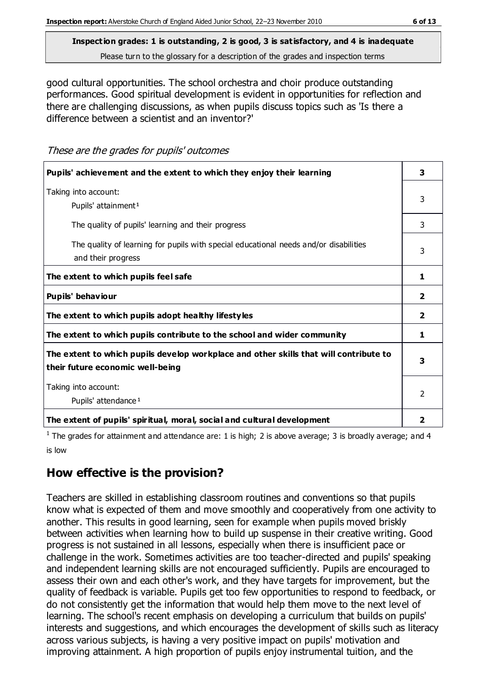good cultural opportunities. The school orchestra and choir produce outstanding performances. Good spiritual development is evident in opportunities for reflection and there are challenging discussions, as when pupils discuss topics such as 'Is there a difference between a scientist and an inventor?'

These are the grades for pupils' outcomes

| Pupils' achievement and the extent to which they enjoy their learning                                                     |                |  |
|---------------------------------------------------------------------------------------------------------------------------|----------------|--|
| Taking into account:<br>Pupils' attainment <sup>1</sup>                                                                   | 3              |  |
| The quality of pupils' learning and their progress                                                                        | 3              |  |
| The quality of learning for pupils with special educational needs and/or disabilities<br>and their progress               |                |  |
| The extent to which pupils feel safe                                                                                      | 1              |  |
| Pupils' behaviour                                                                                                         | 2              |  |
| The extent to which pupils adopt healthy lifestyles                                                                       | $\overline{2}$ |  |
| The extent to which pupils contribute to the school and wider community                                                   | 1              |  |
| The extent to which pupils develop workplace and other skills that will contribute to<br>their future economic well-being |                |  |
| Taking into account:<br>Pupils' attendance <sup>1</sup>                                                                   | $\mathcal{P}$  |  |
| The extent of pupils' spiritual, moral, social and cultural development                                                   | 2              |  |

<sup>1</sup> The grades for attainment and attendance are: 1 is high; 2 is above average; 3 is broadly average; and 4 is low

## **How effective is the provision?**

Teachers are skilled in establishing classroom routines and conventions so that pupils know what is expected of them and move smoothly and cooperatively from one activity to another. This results in good learning, seen for example when pupils moved briskly between activities when learning how to build up suspense in their creative writing. Good progress is not sustained in all lessons, especially when there is insufficient pace or challenge in the work. Sometimes activities are too teacher-directed and pupils' speaking and independent learning skills are not encouraged sufficiently. Pupils are encouraged to assess their own and each other's work, and they have targets for improvement, but the quality of feedback is variable. Pupils get too few opportunities to respond to feedback, or do not consistently get the information that would help them move to the next level of learning. The school's recent emphasis on developing a curriculum that builds on pupils' interests and suggestions, and which encourages the development of skills such as literacy across various subjects, is having a very positive impact on pupils' motivation and improving attainment. A high proportion of pupils enjoy instrumental tuition, and the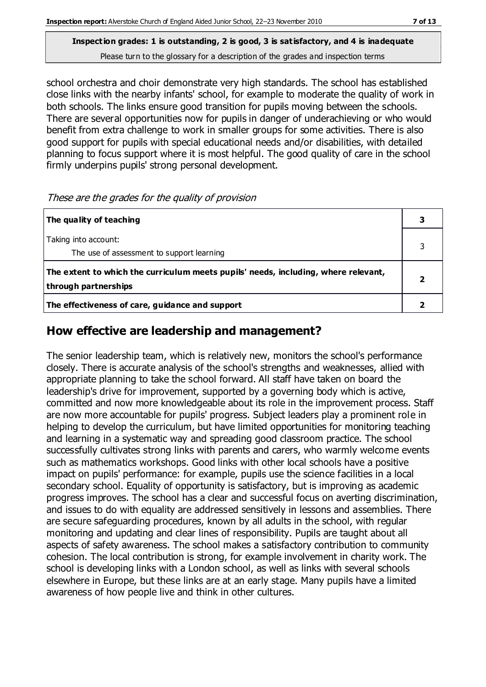school orchestra and choir demonstrate very high standards. The school has established close links with the nearby infants' school, for example to moderate the quality of work in both schools. The links ensure good transition for pupils moving between the schools. There are several opportunities now for pupils in danger of underachieving or who would benefit from extra challenge to work in smaller groups for some activities. There is also good support for pupils with special educational needs and/or disabilities, with detailed planning to focus support where it is most helpful. The good quality of care in the school firmly underpins pupils' strong personal development.

These are the grades for the quality of provision

| The quality of teaching                                                                                    | 3 |
|------------------------------------------------------------------------------------------------------------|---|
| Taking into account:<br>The use of assessment to support learning                                          |   |
| The extent to which the curriculum meets pupils' needs, including, where relevant,<br>through partnerships |   |
| The effectiveness of care, guidance and support                                                            |   |

## **How effective are leadership and management?**

The senior leadership team, which is relatively new, monitors the school's performance closely. There is accurate analysis of the school's strengths and weaknesses, allied with appropriate planning to take the school forward. All staff have taken on board the leadership's drive for improvement, supported by a governing body which is active, committed and now more knowledgeable about its role in the improvement process. Staff are now more accountable for pupils' progress. Subject leaders play a prominent role in helping to develop the curriculum, but have limited opportunities for monitoring teaching and learning in a systematic way and spreading good classroom practice. The school successfully cultivates strong links with parents and carers, who warmly welcome events such as mathematics workshops. Good links with other local schools have a positive impact on pupils' performance: for example, pupils use the science facilities in a local secondary school. Equality of opportunity is satisfactory, but is improving as academic progress improves. The school has a clear and successful focus on averting discrimination, and issues to do with equality are addressed sensitively in lessons and assemblies. There are secure safeguarding procedures, known by all adults in the school, with regular monitoring and updating and clear lines of responsibility. Pupils are taught about all aspects of safety awareness. The school makes a satisfactory contribution to community cohesion. The local contribution is strong, for example involvement in charity work. The school is developing links with a London school, as well as links with several schools elsewhere in Europe, but these links are at an early stage. Many pupils have a limited awareness of how people live and think in other cultures.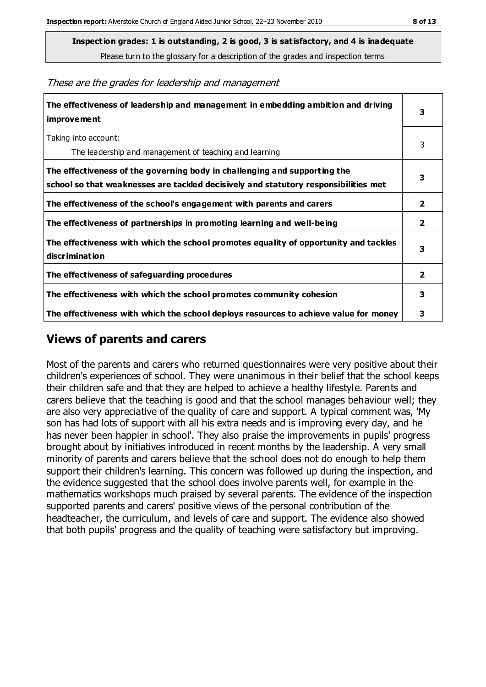**Inspection grades: 1 is outstanding, 2 is good, 3 is satisfactory, and 4 is inadequate**

Please turn to the glossary for a description of the grades and inspection terms

These are the grades for leadership and management

| The effectiveness of leadership and management in embedding ambition and driving<br>improvement                                                                  |                         |
|------------------------------------------------------------------------------------------------------------------------------------------------------------------|-------------------------|
| Taking into account:<br>The leadership and management of teaching and learning                                                                                   | 3                       |
| The effectiveness of the governing body in challenging and supporting the<br>school so that weaknesses are tackled decisively and statutory responsibilities met | 3                       |
| The effectiveness of the school's engagement with parents and carers                                                                                             | $\mathbf{2}$            |
| The effectiveness of partnerships in promoting learning and well-being                                                                                           | $\overline{2}$          |
| The effectiveness with which the school promotes equality of opportunity and tackles<br>discrimination                                                           | 3                       |
| The effectiveness of safeguarding procedures                                                                                                                     | $\overline{\mathbf{2}}$ |
| The effectiveness with which the school promotes community cohesion                                                                                              | 3                       |
| The effectiveness with which the school deploys resources to achieve value for money                                                                             | 3                       |

## **Views of parents and carers**

Most of the parents and carers who returned questionnaires were very positive about their children's experiences of school. They were unanimous in their belief that the school keeps their children safe and that they are helped to achieve a healthy lifestyle. Parents and carers believe that the teaching is good and that the school manages behaviour well; they are also very appreciative of the quality of care and support. A typical comment was, 'My son has had lots of support with all his extra needs and is improving every day, and he has never been happier in school'. They also praise the improvements in pupils' progress brought about by initiatives introduced in recent months by the leadership. A very small minority of parents and carers believe that the school does not do enough to help them support their children's learning. This concern was followed up during the inspection, and the evidence suggested that the school does involve parents well, for example in the mathematics workshops much praised by several parents. The evidence of the inspection supported parents and carers' positive views of the personal contribution of the headteacher, the curriculum, and levels of care and support. The evidence also showed that both pupils' progress and the quality of teaching were satisfactory but improving.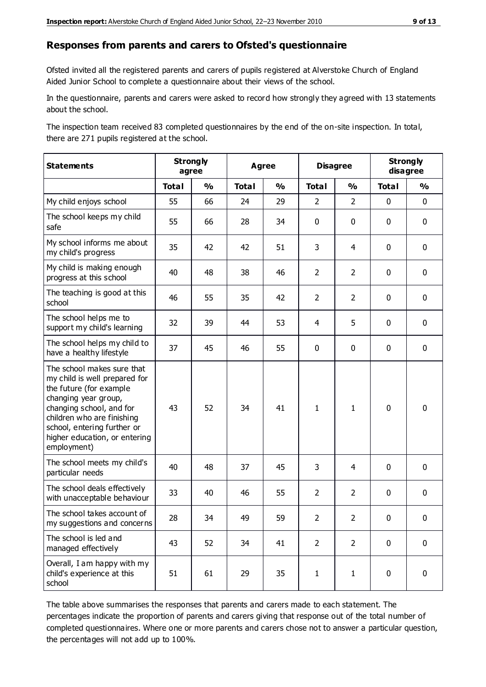#### **Responses from parents and carers to Ofsted's questionnaire**

Ofsted invited all the registered parents and carers of pupils registered at Alverstoke Church of England Aided Junior School to complete a questionnaire about their views of the school.

In the questionnaire, parents and carers were asked to record how strongly they agreed with 13 statements about the school.

The inspection team received 83 completed questionnaires by the end of the on-site inspection. In total, there are 271 pupils registered at the school.

| <b>Statements</b>                                                                                                                                                                                                                                       |              | <b>Strongly</b><br>agree |              | <b>Disagree</b><br>Agree |                | <b>Strongly</b><br>disagree |              |               |
|---------------------------------------------------------------------------------------------------------------------------------------------------------------------------------------------------------------------------------------------------------|--------------|--------------------------|--------------|--------------------------|----------------|-----------------------------|--------------|---------------|
|                                                                                                                                                                                                                                                         | <b>Total</b> | $\frac{1}{2}$            | <b>Total</b> | $\frac{0}{0}$            | <b>Total</b>   | $\frac{1}{2}$               | <b>Total</b> | $\frac{9}{0}$ |
| My child enjoys school                                                                                                                                                                                                                                  | 55           | 66                       | 24           | 29                       | $\overline{2}$ | $\overline{2}$              | $\mathbf 0$  | $\mathbf 0$   |
| The school keeps my child<br>safe                                                                                                                                                                                                                       | 55           | 66                       | 28           | 34                       | 0              | $\mathbf 0$                 | $\mathbf 0$  | $\mathbf 0$   |
| My school informs me about<br>my child's progress                                                                                                                                                                                                       | 35           | 42                       | 42           | 51                       | 3              | 4                           | $\mathbf 0$  | $\mathbf 0$   |
| My child is making enough<br>progress at this school                                                                                                                                                                                                    | 40           | 48                       | 38           | 46                       | $\overline{2}$ | $\overline{2}$              | $\mathbf 0$  | $\mathbf 0$   |
| The teaching is good at this<br>school                                                                                                                                                                                                                  | 46           | 55                       | 35           | 42                       | $\overline{2}$ | $\overline{2}$              | $\mathbf 0$  | $\mathbf 0$   |
| The school helps me to<br>support my child's learning                                                                                                                                                                                                   | 32           | 39                       | 44           | 53                       | 4              | 5                           | $\mathbf 0$  | $\mathbf 0$   |
| The school helps my child to<br>have a healthy lifestyle                                                                                                                                                                                                | 37           | 45                       | 46           | 55                       | $\mathbf 0$    | $\mathbf 0$                 | $\mathbf 0$  | $\mathbf 0$   |
| The school makes sure that<br>my child is well prepared for<br>the future (for example<br>changing year group,<br>changing school, and for<br>children who are finishing<br>school, entering further or<br>higher education, or entering<br>employment) | 43           | 52                       | 34           | 41                       | $\mathbf{1}$   | 1                           | $\mathbf 0$  | $\mathbf 0$   |
| The school meets my child's<br>particular needs                                                                                                                                                                                                         | 40           | 48                       | 37           | 45                       | 3              | 4                           | $\mathbf 0$  | $\mathbf 0$   |
| The school deals effectively<br>with unacceptable behaviour                                                                                                                                                                                             | 33           | 40                       | 46           | 55                       | $\overline{2}$ | $\overline{2}$              | $\mathbf 0$  | $\mathbf 0$   |
| The school takes account of<br>my suggestions and concerns                                                                                                                                                                                              | 28           | 34                       | 49           | 59                       | $\overline{2}$ | 2                           | 0            | $\mathbf{0}$  |
| The school is led and<br>managed effectively                                                                                                                                                                                                            | 43           | 52                       | 34           | 41                       | $\overline{2}$ | $\overline{2}$              | $\mathbf 0$  | $\mathbf 0$   |
| Overall, I am happy with my<br>child's experience at this<br>school                                                                                                                                                                                     | 51           | 61                       | 29           | 35                       | $\mathbf{1}$   | $\mathbf{1}$                | $\mathbf 0$  | $\mathbf 0$   |

The table above summarises the responses that parents and carers made to each statement. The percentages indicate the proportion of parents and carers giving that response out of the total number of completed questionnaires. Where one or more parents and carers chose not to answer a particular question, the percentages will not add up to 100%.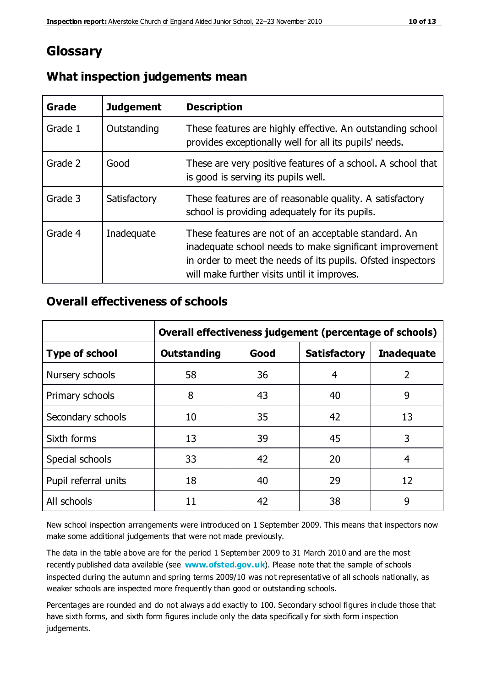## **Glossary**

| Grade   | <b>Judgement</b> | <b>Description</b>                                                                                                                                                                                                            |
|---------|------------------|-------------------------------------------------------------------------------------------------------------------------------------------------------------------------------------------------------------------------------|
| Grade 1 | Outstanding      | These features are highly effective. An outstanding school<br>provides exceptionally well for all its pupils' needs.                                                                                                          |
| Grade 2 | Good             | These are very positive features of a school. A school that<br>is good is serving its pupils well.                                                                                                                            |
| Grade 3 | Satisfactory     | These features are of reasonable quality. A satisfactory<br>school is providing adequately for its pupils.                                                                                                                    |
| Grade 4 | Inadequate       | These features are not of an acceptable standard. An<br>inadequate school needs to make significant improvement<br>in order to meet the needs of its pupils. Ofsted inspectors<br>will make further visits until it improves. |

#### **What inspection judgements mean**

#### **Overall effectiveness of schools**

|                       | Overall effectiveness judgement (percentage of schools) |      |                     |                   |  |
|-----------------------|---------------------------------------------------------|------|---------------------|-------------------|--|
| <b>Type of school</b> | <b>Outstanding</b>                                      | Good | <b>Satisfactory</b> | <b>Inadequate</b> |  |
| Nursery schools       | 58                                                      | 36   | 4                   | 2                 |  |
| Primary schools       | 8                                                       | 43   | 40                  | 9                 |  |
| Secondary schools     | 10                                                      | 35   | 42                  | 13                |  |
| Sixth forms           | 13                                                      | 39   | 45                  | 3                 |  |
| Special schools       | 33                                                      | 42   | 20                  | 4                 |  |
| Pupil referral units  | 18                                                      | 40   | 29                  | 12                |  |
| All schools           | 11                                                      | 42   | 38                  | 9                 |  |

New school inspection arrangements were introduced on 1 September 2009. This means that inspectors now make some additional judgements that were not made previously.

The data in the table above are for the period 1 September 2009 to 31 March 2010 and are the most recently published data available (see **[www.ofsted.gov.uk](http://www.ofsted.gov.uk/)**). Please note that the sample of schools inspected during the autumn and spring terms 2009/10 was not representative of all schools nationally, as weaker schools are inspected more frequently than good or outstanding schools.

Percentages are rounded and do not always add exactly to 100. Secondary school figures in clude those that have sixth forms, and sixth form figures include only the data specifically for sixth form inspection judgements.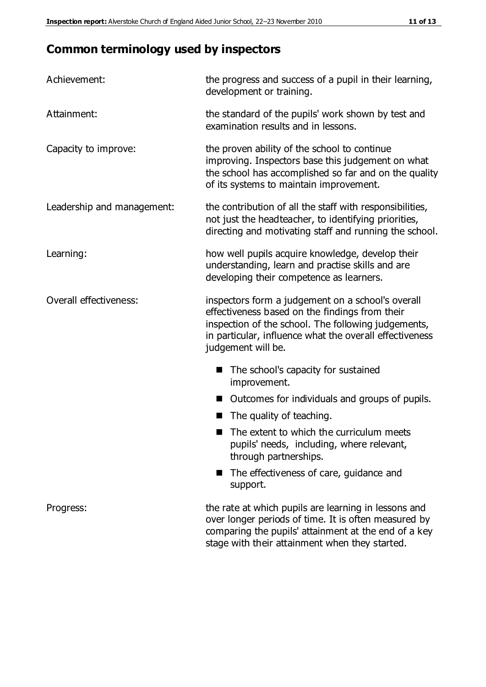## **Common terminology used by inspectors**

| Achievement:               | the progress and success of a pupil in their learning,<br>development or training.                                                                                                                                                          |  |  |
|----------------------------|---------------------------------------------------------------------------------------------------------------------------------------------------------------------------------------------------------------------------------------------|--|--|
| Attainment:                | the standard of the pupils' work shown by test and<br>examination results and in lessons.                                                                                                                                                   |  |  |
| Capacity to improve:       | the proven ability of the school to continue<br>improving. Inspectors base this judgement on what<br>the school has accomplished so far and on the quality<br>of its systems to maintain improvement.                                       |  |  |
| Leadership and management: | the contribution of all the staff with responsibilities,<br>not just the headteacher, to identifying priorities,<br>directing and motivating staff and running the school.                                                                  |  |  |
| Learning:                  | how well pupils acquire knowledge, develop their<br>understanding, learn and practise skills and are<br>developing their competence as learners.                                                                                            |  |  |
| Overall effectiveness:     | inspectors form a judgement on a school's overall<br>effectiveness based on the findings from their<br>inspection of the school. The following judgements,<br>in particular, influence what the overall effectiveness<br>judgement will be. |  |  |
|                            | The school's capacity for sustained<br>improvement.                                                                                                                                                                                         |  |  |
|                            | Outcomes for individuals and groups of pupils.                                                                                                                                                                                              |  |  |
|                            | The quality of teaching.                                                                                                                                                                                                                    |  |  |
|                            | The extent to which the curriculum meets<br>pupils' needs, including, where relevant,<br>through partnerships.                                                                                                                              |  |  |
|                            | The effectiveness of care, guidance and<br>support.                                                                                                                                                                                         |  |  |
| Progress:                  | the rate at which pupils are learning in lessons and<br>over longer periods of time. It is often measured by<br>comparing the pupils' attainment at the end of a key                                                                        |  |  |

stage with their attainment when they started.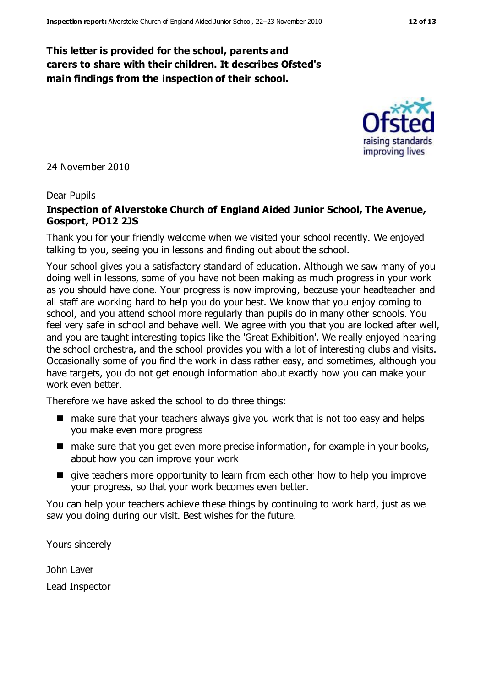#### **This letter is provided for the school, parents and carers to share with their children. It describes Ofsted's main findings from the inspection of their school.**

24 November 2010

#### Dear Pupils

#### **Inspection of Alverstoke Church of England Aided Junior School, The Avenue, Gosport, PO12 2JS**

Thank you for your friendly welcome when we visited your school recently. We enjoyed talking to you, seeing you in lessons and finding out about the school.

Your school gives you a satisfactory standard of education. Although we saw many of you doing well in lessons, some of you have not been making as much progress in your work as you should have done. Your progress is now improving, because your headteacher and all staff are working hard to help you do your best. We know that you enjoy coming to school, and you attend school more regularly than pupils do in many other schools. You feel very safe in school and behave well. We agree with you that you are looked after well, and you are taught interesting topics like the 'Great Exhibition'. We really enjoyed hearing the school orchestra, and the school provides you with a lot of interesting clubs and visits. Occasionally some of you find the work in class rather easy, and sometimes, although you have targets, you do not get enough information about exactly how you can make your work even better.

Therefore we have asked the school to do three things:

- make sure that your teachers always give you work that is not too easy and helps you make even more progress
- make sure that you get even more precise information, for example in your books, about how you can improve your work
- $\blacksquare$  give teachers more opportunity to learn from each other how to help you improve your progress, so that your work becomes even better.

You can help your teachers achieve these things by continuing to work hard, just as we saw you doing during our visit. Best wishes for the future.

Yours sincerely

John Laver Lead Inspector